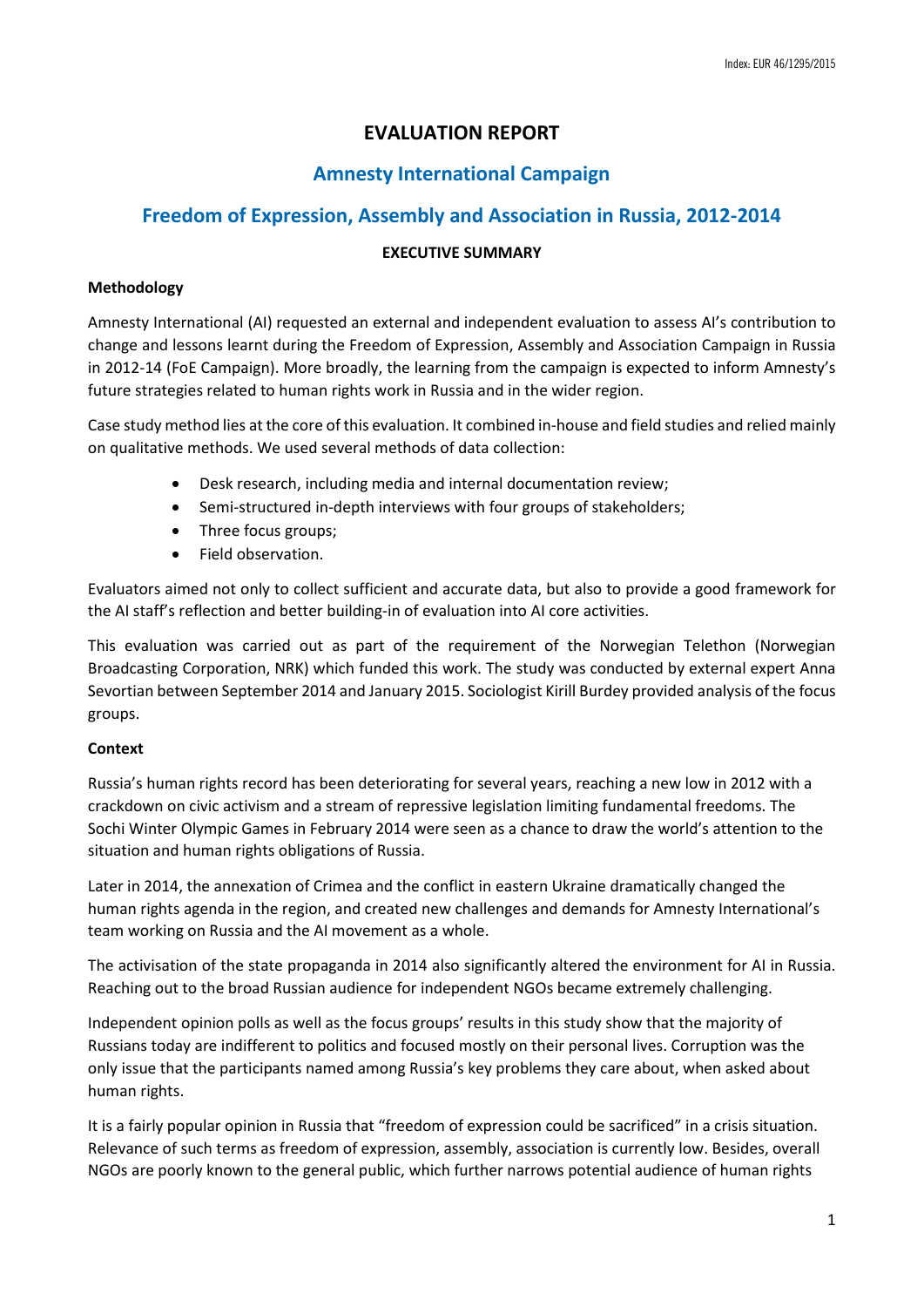# **EVALUATION REPORT**

# **Amnesty International Campaign**

# **Freedom of Expression, Assembly and Association in Russia, 2012-2014**

# **EXECUTIVE SUMMARY**

# **Methodology**

Amnesty International (AI) requested an external and independent evaluation to assess AI's contribution to change and lessons learnt during the Freedom of Expression, Assembly and Association Campaign in Russia in 2012-14 (FoE Campaign). More broadly, the learning from the campaign is expected to inform Amnesty's future strategies related to human rights work in Russia and in the wider region.

Case study method lies at the core of this evaluation. It combined in-house and field studies and relied mainly on qualitative methods. We used several methods of data collection:

- Desk research, including media and internal documentation review;
- Semi-structured in-depth interviews with four groups of stakeholders;
- Three focus groups;
- Field observation.

Evaluators aimed not only to collect sufficient and accurate data, but also to provide a good framework for the AI staff's reflection and better building-in of evaluation into AI core activities.

This evaluation was carried out as part of the requirement of the Norwegian Telethon (Norwegian Broadcasting Corporation, NRK) which funded this work. The study was conducted by external expert Anna Sevortian between September 2014 and January 2015. Sociologist Kirill Burdey provided analysis of the focus groups.

# **Context**

Russia's human rights record has been deteriorating for several years, reaching a new low in 2012 with a crackdown on civic activism and a stream of repressive legislation limiting fundamental freedoms. The Sochi Winter Olympic Games in February 2014 were seen as a chance to draw the world's attention to the situation and human rights obligations of Russia.

Later in 2014, the annexation of Crimea and the conflict in eastern Ukraine dramatically changed the human rights agenda in the region, and created new challenges and demands for Amnesty International's team working on Russia and the AI movement as a whole.

The activisation of the state propaganda in 2014 also significantly altered the environment for AI in Russia. Reaching out to the broad Russian audience for independent NGOs became extremely challenging.

Independent opinion polls as well as the focus groups' results in this study show that the majority of Russians today are indifferent to politics and focused mostly on their personal lives. Corruption was the only issue that the participants named among Russia's key problems they care about, when asked about human rights.

It is a fairly popular opinion in Russia that "freedom of expression could be sacrificed" in a crisis situation. Relevance of such terms as freedom of expression, assembly, association is currently low. Besides, overall NGOs are poorly known to the general public, which further narrows potential audience of human rights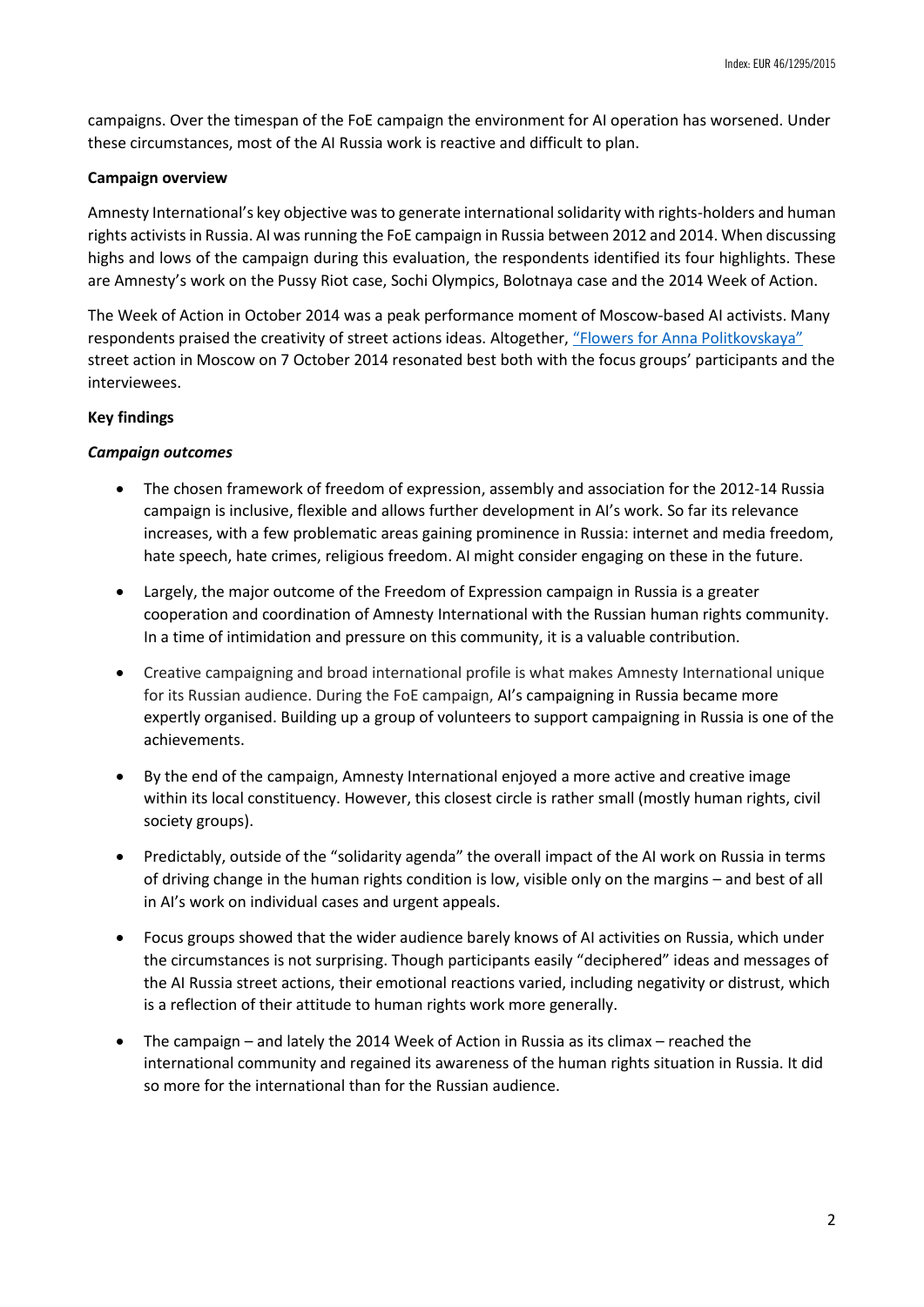campaigns. Over the timespan of the FoE campaign the environment for AI operation has worsened. Under these circumstances, most of the AI Russia work is reactive and difficult to plan.

### **Campaign overview**

Amnesty International's key objective was to generate international solidarity with rights-holders and human rights activists in Russia. AI was running the FoE campaign in Russia between 2012 and 2014. When discussing highs and lows of the campaign during this evaluation, the respondents identified its four highlights. These are Amnesty's work on the Pussy Riot case, Sochi Olympics, Bolotnaya case and the 2014 Week of Action.

The Week of Action in October 2014 was a peak performance moment of Moscow-based AI activists. Many respondents praised the creativity of street actions ideas. Altogether, ["Flowers for Anna Politkovskaya"](https://www.amnesty.org/en/articles/news/2014/10/flowers-anna-russia-s-offensive-media-and-truth/) street action in Moscow on 7 October 2014 resonated best both with the focus groups' participants and the interviewees.

# **Key findings**

#### *Campaign outcomes*

- The chosen framework of freedom of expression, assembly and association for the 2012-14 Russia campaign is inclusive, flexible and allows further development in AI's work. So far its relevance increases, with a few problematic areas gaining prominence in Russia: internet and media freedom, hate speech, hate crimes, religious freedom. AI might consider engaging on these in the future.
- Largely, the major outcome of the Freedom of Expression campaign in Russia is a greater cooperation and coordination of Amnesty International with the Russian human rights community. In a time of intimidation and pressure on this community, it is a valuable contribution.
- Creative campaigning and broad international profile is what makes Amnesty International unique for its Russian audience. During the FoE campaign, AI's campaigning in Russia became more expertly organised. Building up a group of volunteers to support campaigning in Russia is one of the achievements.
- By the end of the campaign, Amnesty International enjoyed a more active and creative image within its local constituency. However, this closest circle is rather small (mostly human rights, civil society groups).
- Predictably, outside of the "solidarity agenda" the overall impact of the AI work on Russia in terms of driving change in the human rights condition is low, visible only on the margins – and best of all in AI's work on individual cases and urgent appeals.
- Focus groups showed that the wider audience barely knows of AI activities on Russia, which under the circumstances is not surprising. Though participants easily "deciphered" ideas and messages of the AI Russia street actions, their emotional reactions varied, including negativity or distrust, which is a reflection of their attitude to human rights work more generally.
- The campaign and lately the 2014 Week of Action in Russia as its climax reached the international community and regained its awareness of the human rights situation in Russia. It did so more for the international than for the Russian audience.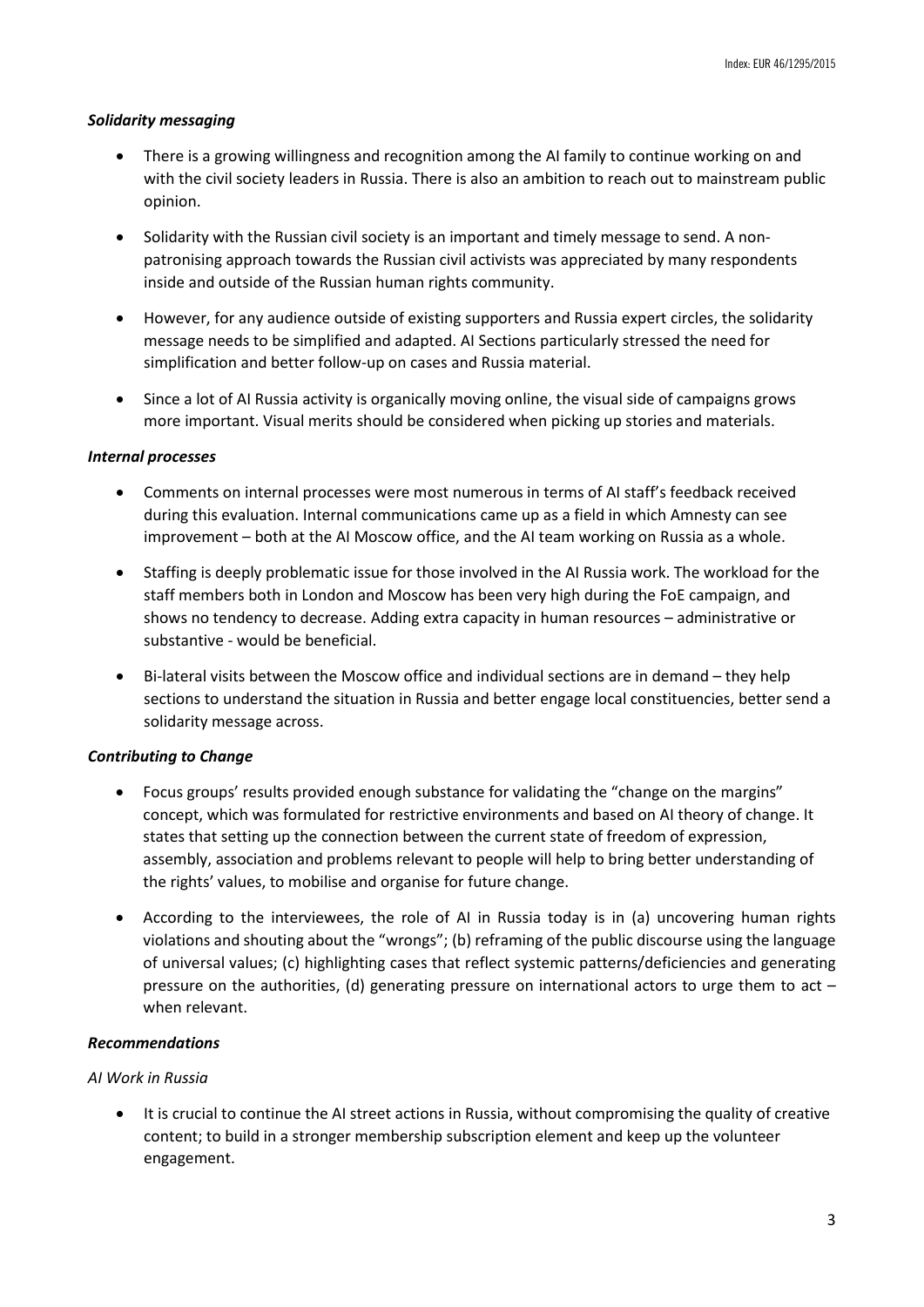### *Solidarity messaging*

- There is a growing willingness and recognition among the AI family to continue working on and with the civil society leaders in Russia. There is also an ambition to reach out to mainstream public opinion.
- Solidarity with the Russian civil society is an important and timely message to send. A nonpatronising approach towards the Russian civil activists was appreciated by many respondents inside and outside of the Russian human rights community.
- However, for any audience outside of existing supporters and Russia expert circles, the solidarity message needs to be simplified and adapted. AI Sections particularly stressed the need for simplification and better follow-up on cases and Russia material.
- Since a lot of AI Russia activity is organically moving online, the visual side of campaigns grows more important. Visual merits should be considered when picking up stories and materials.

#### *Internal processes*

- Comments on internal processes were most numerous in terms of AI staff's feedback received during this evaluation. Internal communications came up as a field in which Amnesty can see improvement – both at the AI Moscow office, and the AI team working on Russia as a whole.
- Staffing is deeply problematic issue for those involved in the AI Russia work. The workload for the staff members both in London and Moscow has been very high during the FoE campaign, and shows no tendency to decrease. Adding extra capacity in human resources – administrative or substantive - would be beneficial.
- Bi-lateral visits between the Moscow office and individual sections are in demand they help sections to understand the situation in Russia and better engage local constituencies, better send a solidarity message across.

# *Contributing to Change*

- Focus groups' results provided enough substance for validating the "change on the margins" concept, which was formulated for restrictive environments and based on AI theory of change. It states that setting up the connection between the current state of freedom of expression, assembly, association and problems relevant to people will help to bring better understanding of the rights' values, to mobilise and organise for future change.
- According to the interviewees, the role of AI in Russia today is in (a) uncovering human rights violations and shouting about the "wrongs"; (b) reframing of the public discourse using the language of universal values; (c) highlighting cases that reflect systemic patterns/deficiencies and generating pressure on the authorities, (d) generating pressure on international actors to urge them to act – when relevant.

### *Recommendations*

#### *AI Work in Russia*

 It is crucial to continue the AI street actions in Russia, without compromising the quality of creative content; to build in a stronger membership subscription element and keep up the volunteer engagement.